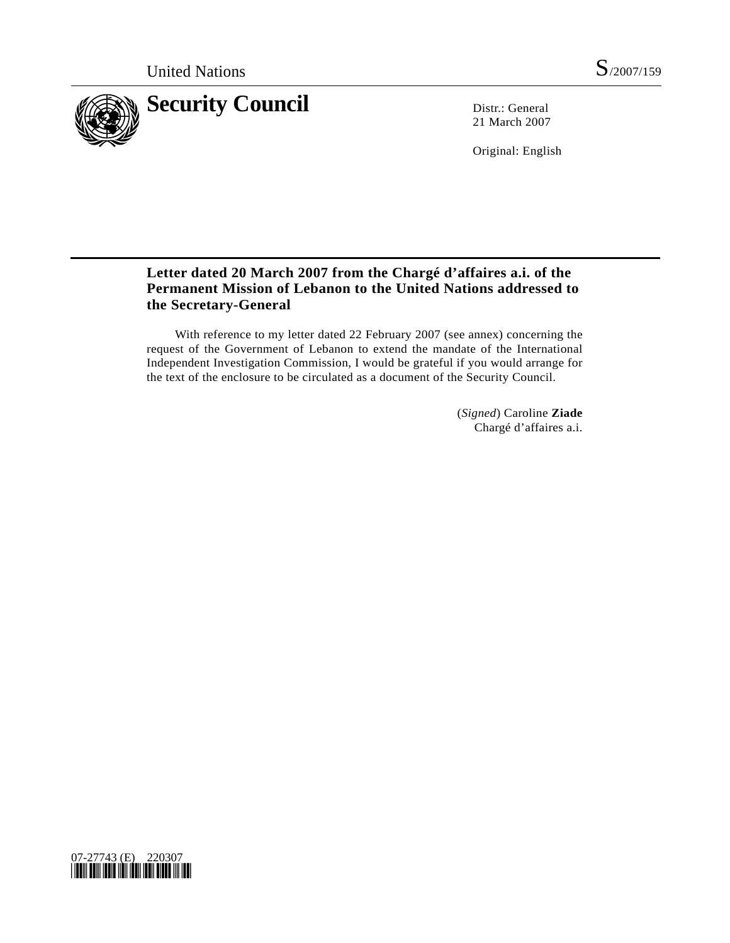

21 March 2007

Original: English

## **Letter dated 20 March 2007 from the Chargé d'affaires a.i. of the Permanent Mission of Lebanon to the United Nations addressed to the Secretary-General**

 With reference to my letter dated 22 February 2007 (see annex) concerning the request of the Government of Lebanon to extend the mandate of the International Independent Investigation Commission, I would be grateful if you would arrange for the text of the enclosure to be circulated as a document of the Security Council.

> (*Signed*) Caroline **Ziade** Chargé d'affaires a.i.

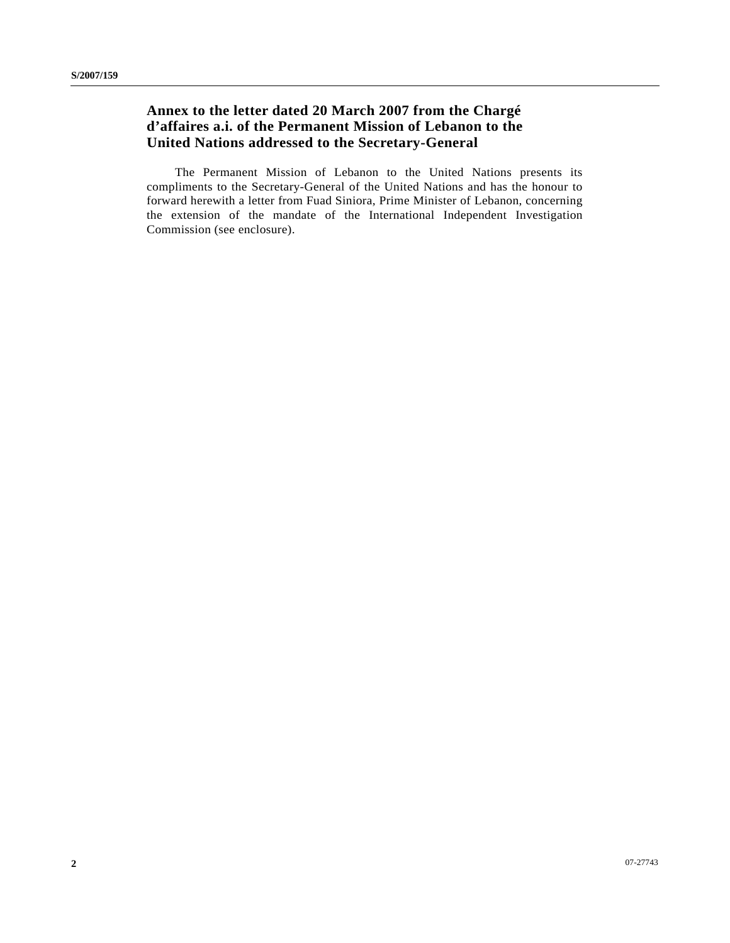## **Annex to the letter dated 20 March 2007 from the Chargé d'affaires a.i. of the Permanent Mission of Lebanon to the United Nations addressed to the Secretary-General**

 The Permanent Mission of Lebanon to the United Nations presents its compliments to the Secretary-General of the United Nations and has the honour to forward herewith a letter from Fuad Siniora, Prime Minister of Lebanon, concerning the extension of the mandate of the International Independent Investigation Commission (see enclosure).